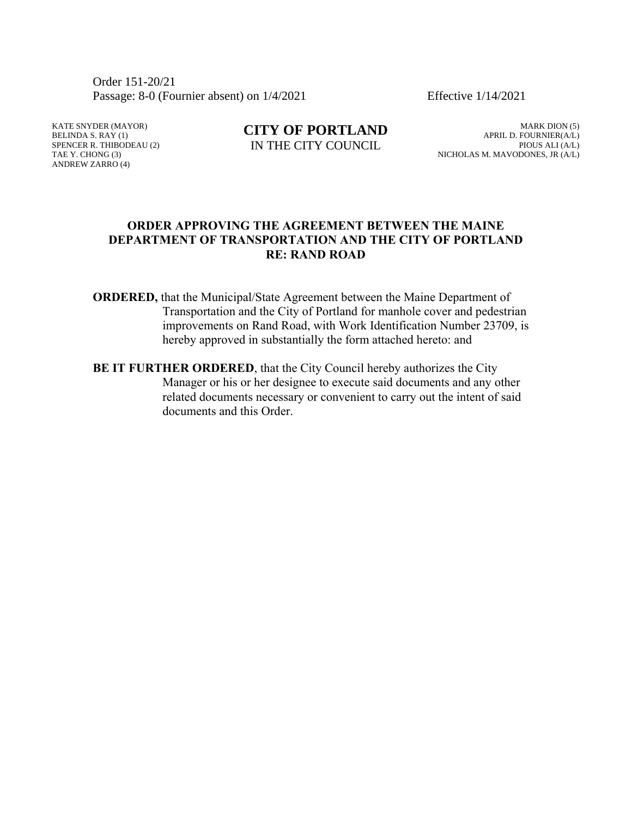Order 151-20/21 Passage: 8-0 (Fournier absent) on  $1/4/2021$  Effective  $1/14/2021$ 

KATE SNYDER (MAYOR) BELINDA S. RAY (1) SPENCER R. THIBODEAU (2) TAE Y. CHONG (3) ANDREW ZARRO (4)

**CITY OF PORTLAND** IN THE CITY COUNCIL

MARK DION (5) APRIL D. FOURNIER(A/L) PIOUS ALI (A/L) NICHOLAS M. MAVODONES, JR (A/L)

### **ORDER APPROVING THE AGREEMENT BETWEEN THE MAINE DEPARTMENT OF TRANSPORTATION AND THE CITY OF PORTLAND RE: RAND ROAD**

- **ORDERED,** that the Municipal/State Agreement between the Maine Department of Transportation and the City of Portland for manhole cover and pedestrian improvements on Rand Road, with Work Identification Number 23709, is hereby approved in substantially the form attached hereto: and
- **BE IT FURTHER ORDERED**, that the City Council hereby authorizes the City Manager or his or her designee to execute said documents and any other related documents necessary or convenient to carry out the intent of said documents and this Order.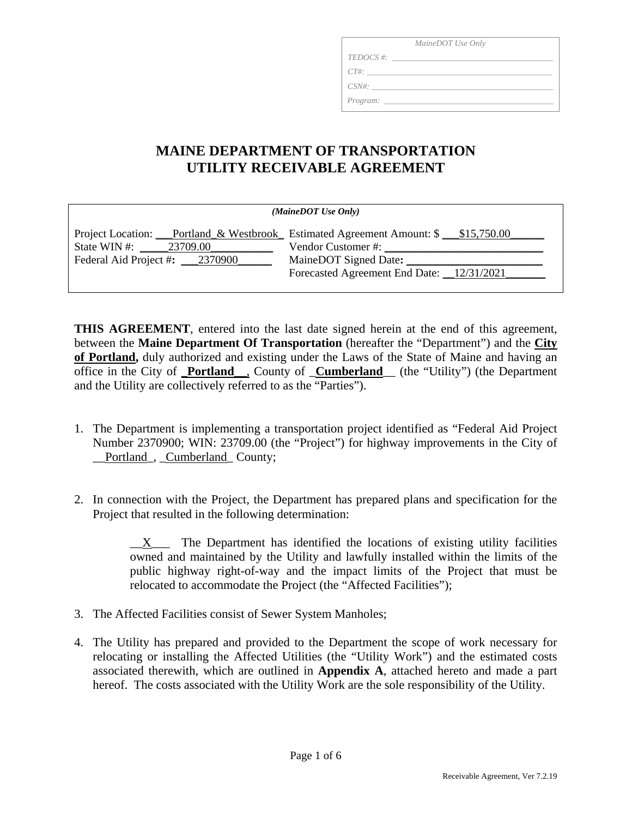| MaineDOT Use Only |  |  |
|-------------------|--|--|
| $TEDOCS \#$       |  |  |
| $CT\#$ :          |  |  |
| $CSN\#:$          |  |  |
| Program:          |  |  |

## **MAINE DEPARTMENT OF TRANSPORTATION UTILITY RECEIVABLE AGREEMENT**

| (MaineDOT Use Only)            |                                                                                                        |  |  |  |
|--------------------------------|--------------------------------------------------------------------------------------------------------|--|--|--|
| State WIN #: $23709.00$        | Project Location: Portland & Westbrook Estimated Agreement Amount: \$ \$15,750.00<br>Vendor Customer#: |  |  |  |
| Federal Aid Project #: 2370900 | MaineDOT Signed Date:                                                                                  |  |  |  |
|                                | Forecasted Agreement End Date: 12/31/2021                                                              |  |  |  |

**THIS AGREEMENT**, entered into the last date signed herein at the end of this agreement, between the **Maine Department Of Transportation** (hereafter the "Department") and the **City of Portland,** duly authorized and existing under the Laws of the State of Maine and having an office in the City of \_**Portland**\_\_, County of \_**Cumberland**\_\_ (the "Utility") (the Department and the Utility are collectively referred to as the "Parties").

- 1. The Department is implementing a transportation project identified as "Federal Aid Project Number 2370900; WIN: 23709.00 (the "Project") for highway improvements in the City of Portland, Cumberland County;
- 2. In connection with the Project, the Department has prepared plans and specification for the Project that resulted in the following determination:

 $X$  The Department has identified the locations of existing utility facilities owned and maintained by the Utility and lawfully installed within the limits of the public highway right-of-way and the impact limits of the Project that must be relocated to accommodate the Project (the "Affected Facilities");

- 3. The Affected Facilities consist of Sewer System Manholes;
- 4. The Utility has prepared and provided to the Department the scope of work necessary for relocating or installing the Affected Utilities (the "Utility Work") and the estimated costs associated therewith, which are outlined in **Appendix A**, attached hereto and made a part hereof. The costs associated with the Utility Work are the sole responsibility of the Utility.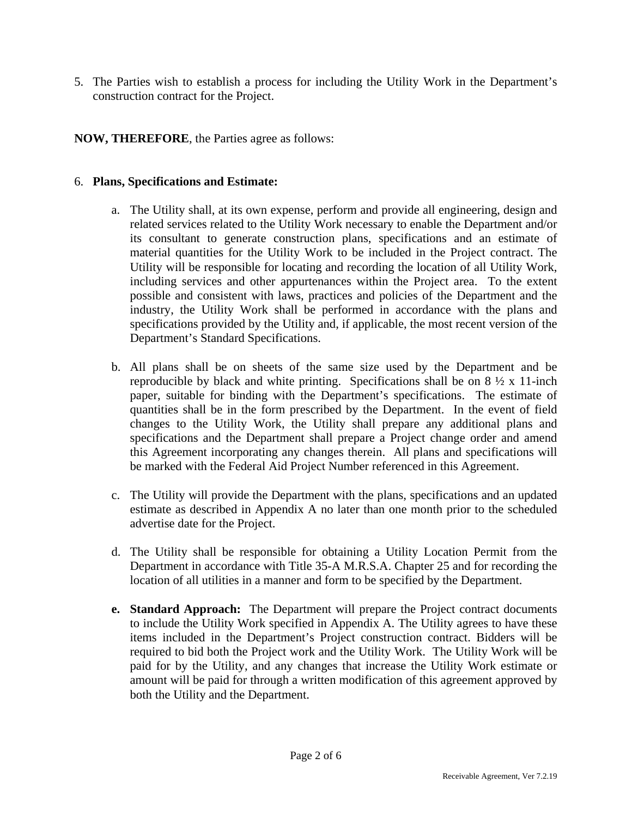5. The Parties wish to establish a process for including the Utility Work in the Department's construction contract for the Project.

### **NOW, THEREFORE**, the Parties agree as follows:

### 6. **Plans, Specifications and Estimate:**

- a. The Utility shall, at its own expense, perform and provide all engineering, design and related services related to the Utility Work necessary to enable the Department and/or its consultant to generate construction plans, specifications and an estimate of material quantities for the Utility Work to be included in the Project contract. The Utility will be responsible for locating and recording the location of all Utility Work, including services and other appurtenances within the Project area. To the extent possible and consistent with laws, practices and policies of the Department and the industry, the Utility Work shall be performed in accordance with the plans and specifications provided by the Utility and, if applicable, the most recent version of the Department's Standard Specifications.
- b. All plans shall be on sheets of the same size used by the Department and be reproducible by black and white printing. Specifications shall be on  $8\frac{1}{2} \times 11$ -inch paper, suitable for binding with the Department's specifications. The estimate of quantities shall be in the form prescribed by the Department. In the event of field changes to the Utility Work, the Utility shall prepare any additional plans and specifications and the Department shall prepare a Project change order and amend this Agreement incorporating any changes therein. All plans and specifications will be marked with the Federal Aid Project Number referenced in this Agreement.
- c. The Utility will provide the Department with the plans, specifications and an updated estimate as described in Appendix A no later than one month prior to the scheduled advertise date for the Project.
- d. The Utility shall be responsible for obtaining a Utility Location Permit from the Department in accordance with Title 35-A M.R.S.A. Chapter 25 and for recording the location of all utilities in a manner and form to be specified by the Department.
- **e. Standard Approach:** The Department will prepare the Project contract documents to include the Utility Work specified in Appendix A. The Utility agrees to have these items included in the Department's Project construction contract. Bidders will be required to bid both the Project work and the Utility Work. The Utility Work will be paid for by the Utility, and any changes that increase the Utility Work estimate or amount will be paid for through a written modification of this agreement approved by both the Utility and the Department.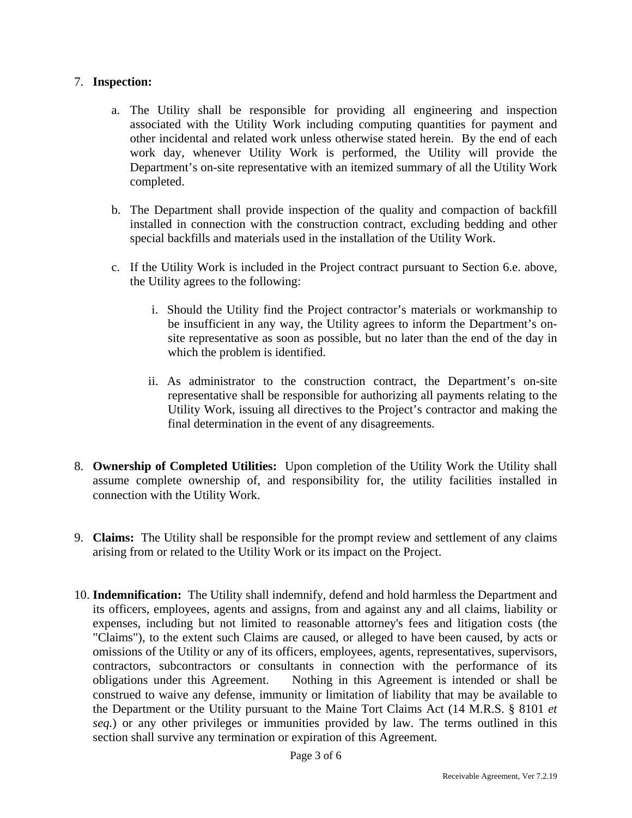### 7. **Inspection:**

- a. The Utility shall be responsible for providing all engineering and inspection associated with the Utility Work including computing quantities for payment and other incidental and related work unless otherwise stated herein. By the end of each work day, whenever Utility Work is performed, the Utility will provide the Department's on-site representative with an itemized summary of all the Utility Work completed.
- b. The Department shall provide inspection of the quality and compaction of backfill installed in connection with the construction contract, excluding bedding and other special backfills and materials used in the installation of the Utility Work.
- c. If the Utility Work is included in the Project contract pursuant to Section 6.e. above, the Utility agrees to the following:
	- i. Should the Utility find the Project contractor's materials or workmanship to be insufficient in any way, the Utility agrees to inform the Department's onsite representative as soon as possible, but no later than the end of the day in which the problem is identified.
	- ii. As administrator to the construction contract, the Department's on-site representative shall be responsible for authorizing all payments relating to the Utility Work, issuing all directives to the Project's contractor and making the final determination in the event of any disagreements.
- 8. **Ownership of Completed Utilities:** Upon completion of the Utility Work the Utility shall assume complete ownership of, and responsibility for, the utility facilities installed in connection with the Utility Work.
- 9. **Claims:** The Utility shall be responsible for the prompt review and settlement of any claims arising from or related to the Utility Work or its impact on the Project.
- 10. **Indemnification:** The Utility shall indemnify, defend and hold harmless the Department and its officers, employees, agents and assigns, from and against any and all claims, liability or expenses, including but not limited to reasonable attorney's fees and litigation costs (the "Claims"), to the extent such Claims are caused, or alleged to have been caused, by acts or omissions of the Utility or any of its officers, employees, agents, representatives, supervisors, contractors, subcontractors or consultants in connection with the performance of its obligations under this Agreement. Nothing in this Agreement is intended or shall be construed to waive any defense, immunity or limitation of liability that may be available to the Department or the Utility pursuant to the Maine Tort Claims Act (14 M.R.S. § 8101 *et seq.*) or any other privileges or immunities provided by law. The terms outlined in this section shall survive any termination or expiration of this Agreement.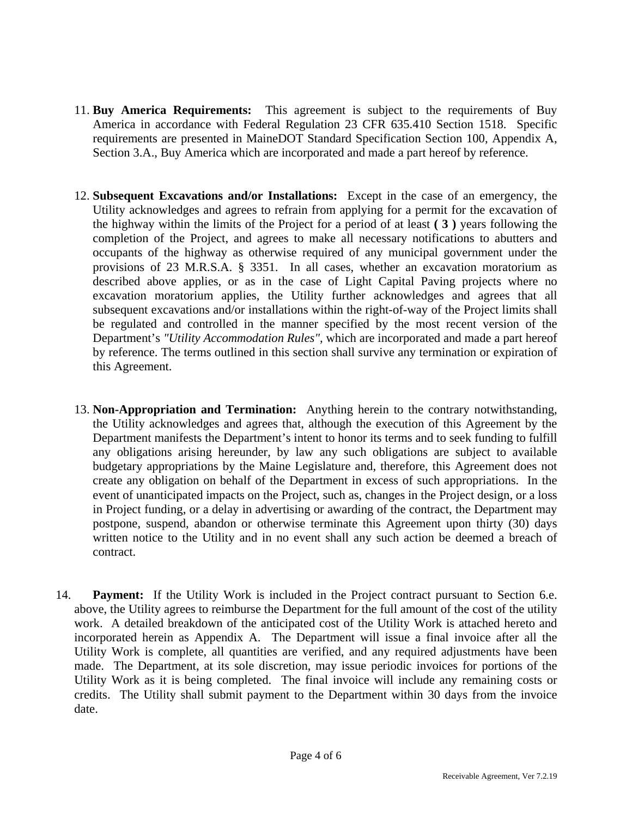- 11. **Buy America Requirements:** This agreement is subject to the requirements of Buy America in accordance with Federal Regulation 23 CFR 635.410 Section 1518. Specific requirements are presented in MaineDOT Standard Specification Section 100, Appendix A, Section 3.A., Buy America which are incorporated and made a part hereof by reference.
- 12. **Subsequent Excavations and/or Installations:** Except in the case of an emergency, the Utility acknowledges and agrees to refrain from applying for a permit for the excavation of the highway within the limits of the Project for a period of at least **( 3 )** years following the completion of the Project, and agrees to make all necessary notifications to abutters and occupants of the highway as otherwise required of any municipal government under the provisions of 23 M.R.S.A. § 3351. In all cases, whether an excavation moratorium as described above applies, or as in the case of Light Capital Paving projects where no excavation moratorium applies, the Utility further acknowledges and agrees that all subsequent excavations and/or installations within the right-of-way of the Project limits shall be regulated and controlled in the manner specified by the most recent version of the Department's *"Utility Accommodation Rules",* which are incorporated and made a part hereof by reference. The terms outlined in this section shall survive any termination or expiration of this Agreement.
- 13. **Non-Appropriation and Termination:** Anything herein to the contrary notwithstanding, the Utility acknowledges and agrees that, although the execution of this Agreement by the Department manifests the Department's intent to honor its terms and to seek funding to fulfill any obligations arising hereunder, by law any such obligations are subject to available budgetary appropriations by the Maine Legislature and, therefore, this Agreement does not create any obligation on behalf of the Department in excess of such appropriations. In the event of unanticipated impacts on the Project, such as, changes in the Project design, or a loss in Project funding, or a delay in advertising or awarding of the contract, the Department may postpone, suspend, abandon or otherwise terminate this Agreement upon thirty (30) days written notice to the Utility and in no event shall any such action be deemed a breach of contract.
- 14. **Payment:** If the Utility Work is included in the Project contract pursuant to Section 6.e. above, the Utility agrees to reimburse the Department for the full amount of the cost of the utility work. A detailed breakdown of the anticipated cost of the Utility Work is attached hereto and incorporated herein as Appendix A. The Department will issue a final invoice after all the Utility Work is complete, all quantities are verified, and any required adjustments have been made. The Department, at its sole discretion, may issue periodic invoices for portions of the Utility Work as it is being completed. The final invoice will include any remaining costs or credits. The Utility shall submit payment to the Department within 30 days from the invoice date.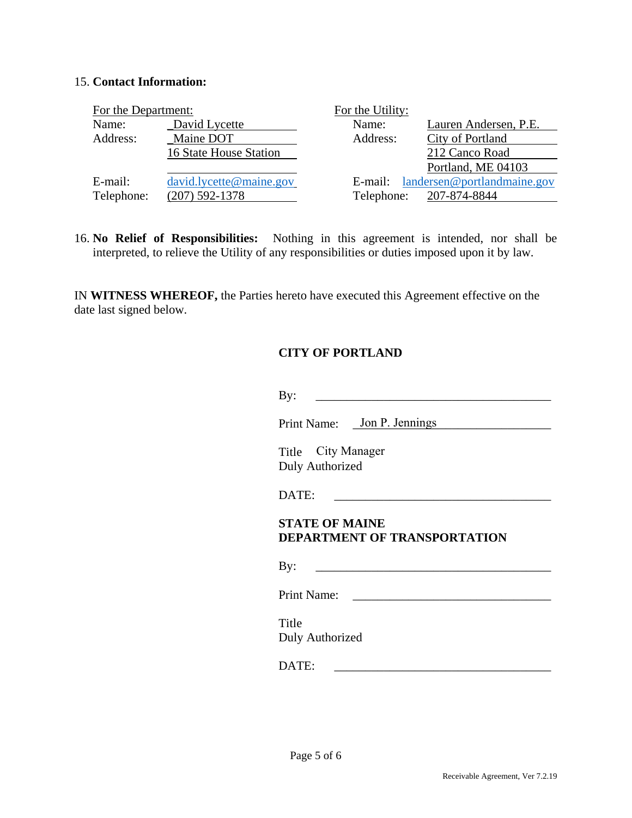### 15. **Contact Information:**

| For the Department: |                         | For the Utility: |                             |
|---------------------|-------------------------|------------------|-----------------------------|
| Name:               | David Lycette           | Name:            | Lauren Andersen, P.E.       |
| Address:            | Maine DOT               | Address:         | <b>City of Portland</b>     |
|                     | 16 State House Station  |                  | 212 Canco Road              |
|                     |                         |                  | Portland, ME 04103          |
| E-mail:             | david.lycette@maine.gov | E-mail:          | landersen@portlandmaine.gov |
| Telephone:          | $(207)$ 592-1378        | Telephone:       | 207-874-8844                |

16. **No Relief of Responsibilities:** Nothing in this agreement is intended, nor shall be interpreted, to relieve the Utility of any responsibilities or duties imposed upon it by law.

IN **WITNESS WHEREOF,** the Parties hereto have executed this Agreement effective on the date last signed below.

### **CITY OF PORTLAND**

|                                                                         | Print Name: Jon P. Jennings  |
|-------------------------------------------------------------------------|------------------------------|
| Title City Manager<br><b>Duly Authorized</b>                            |                              |
| DATE:                                                                   |                              |
|                                                                         |                              |
|                                                                         | DEPARTMENT OF TRANSPORTATION |
|                                                                         |                              |
| <b>STATE OF MAINE</b><br>By:<br>Print Name:<br>Title<br>Duly Authorized |                              |